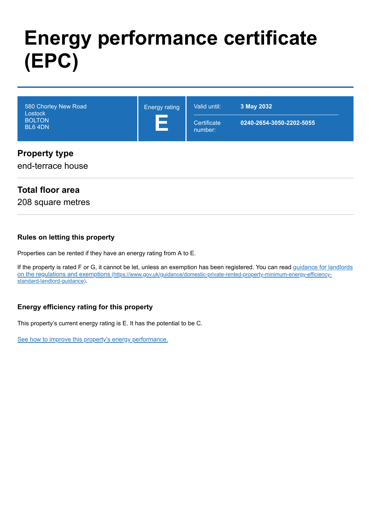# **Energy performance certificate (EPC)**

| 580 Chorley New Road<br>Lostock<br><b>BOLTON</b><br>BL6 4DN | <b>Energy rating</b><br>$\sim$ | Valid until:<br>Certificate<br>number: | 3 May 2032<br>0240-2654-3050-2202-5055 |  |
|-------------------------------------------------------------|--------------------------------|----------------------------------------|----------------------------------------|--|
| Dranorty type                                               |                                |                                        |                                        |  |

#### **Property type**

end-terrace house

#### **Total floor area**

208 square metres

#### **Rules on letting this property**

Properties can be rented if they have an energy rating from A to E.

[If the property is rated F or G, it cannot be let, unless an exemption has been registered. You can read guidance for landlords](https://www.gov.uk/guidance/domestic-private-rented-property-minimum-energy-efficiency-standard-landlord-guidance) on the regulations and exemptions (https://www.gov.uk/guidance/domestic-private-rented-property-minimum-energy-efficiencystandard-landlord-guidance).

#### **Energy efficiency rating for this property**

This property's current energy rating is E. It has the potential to be C.

[See how to improve this property's energy performance.](#page-3-0)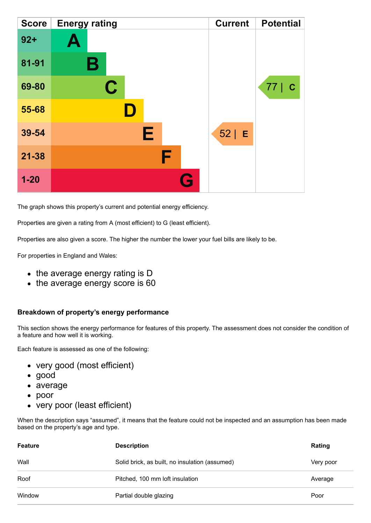| <b>Score</b> | <b>Energy rating</b> | <b>Current</b> | <b>Potential</b>   |
|--------------|----------------------|----------------|--------------------|
| $92 +$       | A                    |                |                    |
| 81-91        | В                    |                |                    |
| 69-80        | $\mathbf C$          |                | 77 <br>$\mathbf C$ |
| 55-68        |                      |                |                    |
| 39-54        | Е                    | $52$   E       |                    |
| $21 - 38$    | F                    |                |                    |
| $1 - 20$     | Q                    |                |                    |

The graph shows this property's current and potential energy efficiency.

Properties are given a rating from A (most efficient) to G (least efficient).

Properties are also given a score. The higher the number the lower your fuel bills are likely to be.

For properties in England and Wales:

- the average energy rating is D
- the average energy score is 60

#### **Breakdown of property's energy performance**

This section shows the energy performance for features of this property. The assessment does not consider the condition of a feature and how well it is working.

Each feature is assessed as one of the following:

- very good (most efficient)
- good
- average
- poor
- very poor (least efficient)

When the description says "assumed", it means that the feature could not be inspected and an assumption has been made based on the property's age and type.

| <b>Feature</b> | <b>Description</b>                             | Rating    |
|----------------|------------------------------------------------|-----------|
| Wall           | Solid brick, as built, no insulation (assumed) | Very poor |
| Roof           | Pitched, 100 mm loft insulation                | Average   |
| Window         | Partial double glazing                         | Poor      |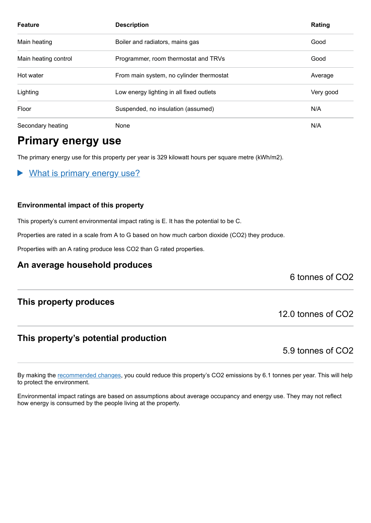| <b>Feature</b>       | <b>Description</b>                       | Rating    |
|----------------------|------------------------------------------|-----------|
| Main heating         | Boiler and radiators, mains gas          | Good      |
| Main heating control | Programmer, room thermostat and TRVs     | Good      |
| Hot water            | From main system, no cylinder thermostat | Average   |
| Lighting             | Low energy lighting in all fixed outlets | Very good |
| Floor                | Suspended, no insulation (assumed)       | N/A       |
| Secondary heating    | None                                     | N/A       |

## **Primary energy use**

The primary energy use for this property per year is 329 kilowatt hours per square metre (kWh/m2).

What is primary energy use?  $\blacktriangleright$ 

#### **Environmental impact of this property**

This property's current environmental impact rating is E. It has the potential to be C.

Properties are rated in a scale from A to G based on how much carbon dioxide (CO2) they produce.

Properties with an A rating produce less CO2 than G rated properties.

#### **An average household produces**

6 tonnes of CO2

#### **This property produces**

#### **This property's potential production**

5.9 tonnes of CO2

12.0 tonnes of CO2

By making the [recommended changes,](#page-3-0) you could reduce this property's CO2 emissions by 6.1 tonnes per year. This will help to protect the environment.

Environmental impact ratings are based on assumptions about average occupancy and energy use. They may not reflect how energy is consumed by the people living at the property.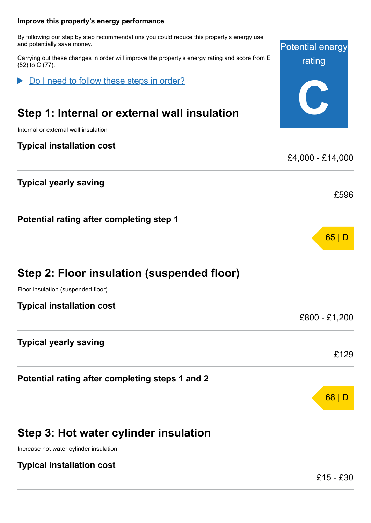## <span id="page-3-0"></span>Potential energy rating **C Improve this property's energy performance** By following our step by step recommendations you could reduce this property's energy use and potentially save money. Carrying out these changes in order will improve the property's energy rating and score from E (52) to C (77). **Step 1: Internal or external wall insulation** Internal or external wall insulation **Typical installation cost** £4,000 - £14,000 **Typical yearly saving** £596 **Potential rating after completing step 1** 65 | D **Step 2: Floor insulation (suspended floor)** Floor insulation (suspended floor) **Typical installation cost** £800 - £1,200 **Typical yearly saving** £129 **Potential rating after completing steps 1 and 2** 68 | D Do I need to follow these steps in order?

## **Step 3: Hot water cylinder insulation**

Increase hot water cylinder insulation

### **Typical installation cost**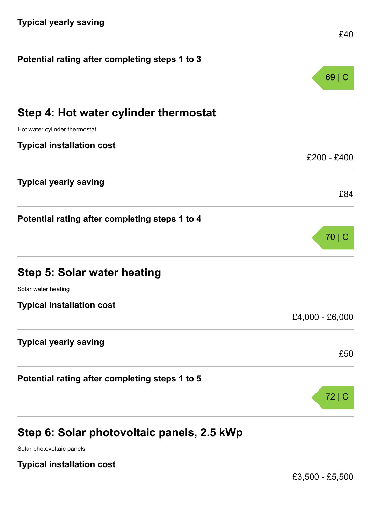| Potential rating after completing steps 1 to 3 |                 |
|------------------------------------------------|-----------------|
|                                                | $69 \mid$       |
| Step 4: Hot water cylinder thermostat          |                 |
| Hot water cylinder thermostat                  |                 |
| <b>Typical installation cost</b>               |                 |
|                                                | £200 - £400     |
| <b>Typical yearly saving</b>                   |                 |
|                                                | £84             |
| Potential rating after completing steps 1 to 4 |                 |
|                                                | 70   C          |
| Step 5: Solar water heating                    |                 |
| Solar water heating                            |                 |
| <b>Typical installation cost</b>               |                 |
|                                                | £4,000 - £6,000 |
| <b>Typical yearly saving</b>                   |                 |
|                                                | £50             |
| Potential rating after completing steps 1 to 5 |                 |
|                                                | 72 C            |
| Step 6: Solar photovoltaic panels, 2.5 kWp     |                 |

Solar photovoltaic panels

**Typical installation cost**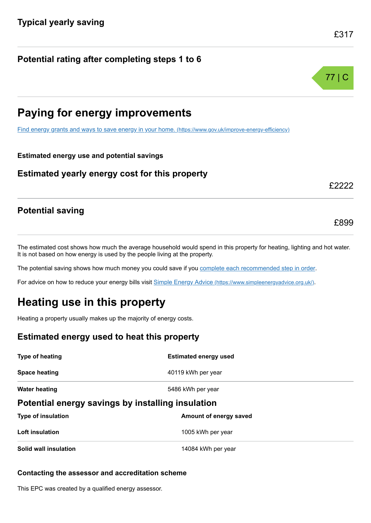#### **Potential rating after completing steps 1 to 6**

## **Paying for energy improvements**

[Find energy grants and ways to save energy in your home.](https://www.gov.uk/improve-energy-efficiency) (https://www.gov.uk/improve-energy-efficiency)

#### **Estimated energy use and potential savings**

#### **Estimated yearly energy cost for this property**

#### **Potential saving**

The estimated cost shows how much the average household would spend in this property for heating, lighting and hot water. It is not based on how energy is used by the people living at the property.

The potential saving shows how much money you could save if you [complete each recommended step in order](#page-3-0).

For advice on how to reduce your energy bills visit Simple Energy Advice [\(https://www.simpleenergyadvice.org.uk/\)](https://www.simpleenergyadvice.org.uk/).

## **Heating use in this property**

Heating a property usually makes up the majority of energy costs.

#### **Estimated energy used to heat this property**

| Type of heating                                   | <b>Estimated energy used</b> |  |
|---------------------------------------------------|------------------------------|--|
| <b>Space heating</b>                              | 40119 kWh per year           |  |
| <b>Water heating</b>                              | 5486 kWh per year            |  |
| Potential energy savings by installing insulation |                              |  |
| <b>Type of insulation</b>                         | Amount of energy saved       |  |
| Loft insulation                                   | 1005 kWh per year            |  |
| Solid wall insulation                             | 14084 kWh per year           |  |

#### **Contacting the assessor and accreditation scheme**

This EPC was created by a qualified energy assessor.



£899

£2222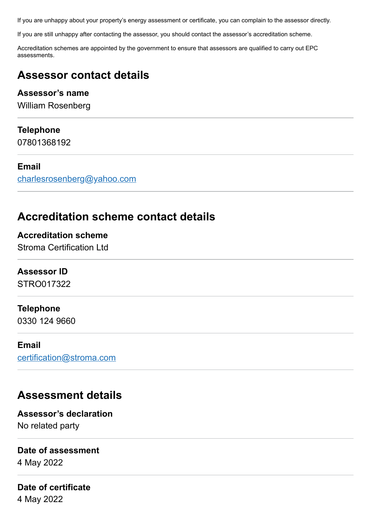If you are unhappy about your property's energy assessment or certificate, you can complain to the assessor directly.

If you are still unhappy after contacting the assessor, you should contact the assessor's accreditation scheme.

Accreditation schemes are appointed by the government to ensure that assessors are qualified to carry out EPC assessments.

## **Assessor contact details**

#### **Assessor's name**

William Rosenberg

#### **Telephone**

07801368192

#### **Email**

[charlesrosenberg@yahoo.com](mailto:charlesrosenberg@yahoo.com)

## **Accreditation scheme contact details**

**Accreditation scheme** Stroma Certification Ltd

#### **Assessor ID**

STRO017322

#### **Telephone**

0330 124 9660

#### **Email**

[certification@stroma.com](mailto:certification@stroma.com)

## **Assessment details**

**Assessor's declaration** No related party

#### **Date of assessment**

4 May 2022

#### **Date of certificate** 4 May 2022